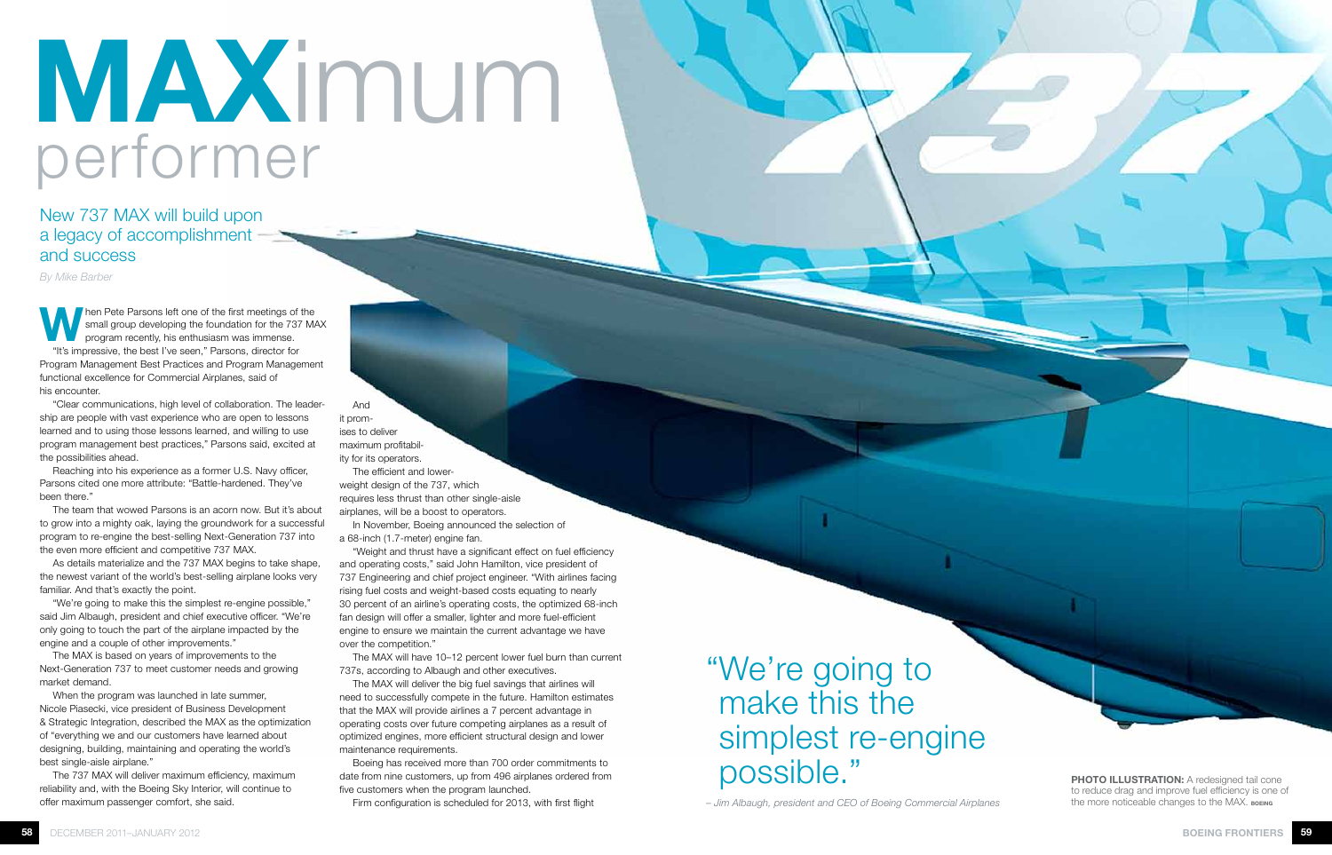Then Pete Parsons left one of the first meetings of the small group developing the foundation for the 737 MAX program recently, his enthusiasm was immense. "It's impressive, the best I've seen," Parsons, director for Program Management Best Practices and Program Management functional excellence for Commercial Airplanes, said of his encounter.

"Clear communications, high level of collaboration. The leadership are people with vast experience who are open to lessons learned and to using those lessons learned, and willing to use program management best practices," Parsons said, excited at the possibilities ahead.

Reaching into his experience as a former U.S. Navy officer, Parsons cited one more attribute: "Battle-hardened. They've been there."

The team that wowed Parsons is an acorn now. But it's about to grow into a mighty oak, laying the groundwork for a successful program to re-engine the best-selling Next-Generation 737 into the even more efficient and competitive 737 MAX.

As details materialize and the 737 MAX begins to take shape, the newest variant of the world's best-selling airplane looks very familiar. And that's exactly the point.

"We're going to make this the simplest re-engine possible," said Jim Albaugh, president and chief executive officer. "We're only going to touch the part of the airplane impacted by the engine and a couple of other improvements."

The MAX is based on years of improvements to the Next-Generation 737 to meet customer needs and growing market demand.

When the program was launched in late summer, Nicole Piasecki, vice president of Business Development & Strategic Integration, described the MAX as the optimization of "everything we and our customers have learned about designing, building, maintaining and operating the world's best single-aisle airplane."

The 737 MAX will deliver maximum efficiency, maximum reliability and, with the Boeing Sky Interior, will continue to offer maximum passenger comfort, she said.

And it promises to deliver maximum profitability for its operators.

The efficient and lowerweight design of the 737, which requires less thrust than other single-aisle airplanes, will be a boost to operators.

In November, Boeing announced the selection of a 68-inch (1.7-meter) engine fan.

"Weight and thrust have a significant effect on fuel efficiency and operating costs," said John Hamilton, vice president of 737 Engineering and chief project engineer. "With airlines facing rising fuel costs and weight-based costs equating to nearly 30 percent of an airline's operating costs, the optimized 68-inch fan design will offer a smaller, lighter and more fuel-efficient engine to ensure we maintain the current advantage we have over the competition."

The MAX will have 10–12 percent lower fuel burn than current 737s, according to Albaugh and other executives.

The MAX will deliver the big fuel savings that airlines will need to successfully compete in the future. Hamilton estimates that the MAX will provide airlines a 7 percent advantage in operating costs over future competing airplanes as a result of optimized engines, more efficient structural design and lower maintenance requirements.

Boeing has received more than 700 order commitments to date from nine customers, up from 496 airplanes ordered from five customers when the program launched.

Firm configuration is scheduled for 2013, with first flight

## New 737 MAX will build upon a legacy of accomplishment and success

*By Mike Barber*

## "We're going to make this the simplest re-engine possible."

*– Jim Albaugh, president and CEO of Boeing Commercial Airplanes*



PHOTO ILLUSTRATION: A redesigned tail cone to reduce drag and improve fuel efficiency is one of the more noticeable changes to the MAX. BOEING

## MAXimum performer